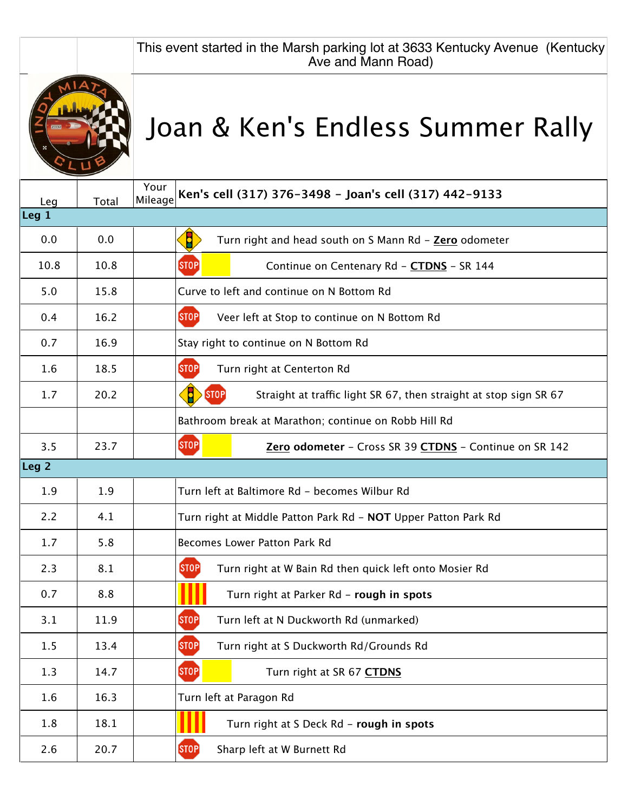

## Joan & Ken's Endless Summer Rally

| Leg              | Total | Your<br>Mileage | Ken's cell (317) 376-3498 - Joan's cell (317) 442-9133                                           |
|------------------|-------|-----------------|--------------------------------------------------------------------------------------------------|
| Leg <sub>1</sub> |       |                 |                                                                                                  |
| 0.0              | 0.0   |                 | $\left\langle \mathbf{b}\right\rangle$<br>Turn right and head south on S Mann Rd - Zero odometer |
| 10.8             | 10.8  |                 | [STOP]<br>Continue on Centenary Rd - CTDNS - SR 144                                              |
| 5.0              | 15.8  |                 | Curve to left and continue on N Bottom Rd                                                        |
| 0.4              | 16.2  |                 | <b>STOP</b><br>Veer left at Stop to continue on N Bottom Rd                                      |
| 0.7              | 16.9  |                 | Stay right to continue on N Bottom Rd                                                            |
| 1.6              | 18.5  |                 | [STOP]<br>Turn right at Centerton Rd                                                             |
| 1.7              | 20.2  |                 | $\bf{E}$<br><b>STOP</b><br>Straight at traffic light SR 67, then straight at stop sign SR 67     |
|                  |       |                 | Bathroom break at Marathon; continue on Robb Hill Rd                                             |
| 3.5              | 23.7  |                 | <b>STOP</b><br>Zero odometer - Cross SR 39 CTDNS - Continue on SR 142                            |
| Leg <sub>2</sub> |       |                 |                                                                                                  |
| 1.9              | 1.9   |                 | Turn left at Baltimore Rd - becomes Wilbur Rd                                                    |
| 2.2              | 4.1   |                 | Turn right at Middle Patton Park Rd - NOT Upper Patton Park Rd                                   |
| 1.7              | 5.8   |                 | Becomes Lower Patton Park Rd                                                                     |
| 2.3              | 8.1   |                 | <b>STOP</b><br>Turn right at W Bain Rd then quick left onto Mosier Rd                            |
| 0.7              | 8.8   |                 | Turn right at Parker Rd - rough in spots                                                         |
| 3.1              | 11.9  |                 | [STOP]<br>Turn left at N Duckworth Rd (unmarked)                                                 |
| 1.5              | 13.4  |                 | <b>STOP</b><br>Turn right at S Duckworth Rd/Grounds Rd                                           |
| 1.3              | 14.7  |                 | ST <sub>OP</sub><br>Turn right at SR 67 CTDNS                                                    |
| 1.6              | 16.3  |                 | Turn left at Paragon Rd                                                                          |
| 1.8              | 18.1  |                 | Turn right at S Deck Rd - rough in spots                                                         |
| 2.6              | 20.7  |                 | [STOP]<br>Sharp left at W Burnett Rd                                                             |